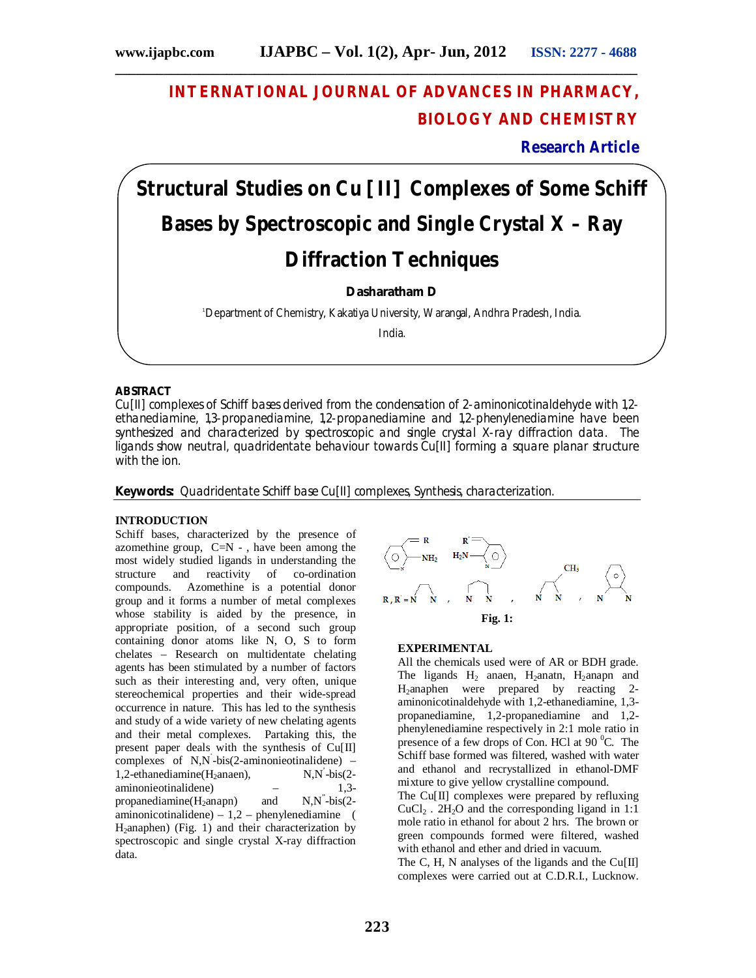# **INTERNATIONAL JOURNAL OF ADVANCES IN PHARMACY, BIOLOGY AND CHEMISTRY**

**\_\_\_\_\_\_\_\_\_\_\_\_\_\_\_\_\_\_\_\_\_\_\_\_\_\_\_\_\_\_\_\_\_\_\_\_\_\_\_\_\_\_\_\_\_\_\_\_\_\_\_\_\_\_\_\_\_\_\_\_\_\_\_\_\_\_\_\_\_\_\_\_\_\_\_**

**Research Article**

# **Structural Studies on Cu [II] Complexes of Some Schiff Bases by Spectroscopic and Single Crystal X – Ray Diffraction Techniques**

**Dasharatham D**

<sup>1</sup>Department of Chemistry, Kakatiya University, Warangal, Andhra Pradesh, India.

India.

# **ABSTRACT**

Cu[II] complexes of Schiff bases derived from the condensation of 2-aminonicotinaldehyde with 1,2 ethanediamine, 1,3-propanediamine, 1,2-propanediamine and 1,2-phenylenediamine have been synthesized and characterized by spectroscopic and single crystal X-ray diffraction data. The ligands show neutral, quadridentate behaviour towards Cu[II] forming a square planar structure with the ion.

**Keywords:** Quadridentate Schiff base Cu[II] complexes, Synthesis, characterization.

# **INTRODUCTION**

Schiff bases, characterized by the presence of azomethine group,  $C=N - \lambda$ , have been among the most widely studied ligands in understanding the structure and reactivity of co-ordination compounds. Azomethine is a potential donor group and it forms a number of metal complexes whose stability is aided by the presence, in appropriate position, of a second such group containing donor atoms like N, O, S to form chelates – Research on multidentate chelating agents has been stimulated by a number of factors such as their interesting and, very often, unique stereochemical properties and their wide-spread occurrence in nature. This has led to the synthesis and study of a wide variety of new chelating agents and their metal complexes. Partaking this, the present paper deals with the synthesis of Cu[II] complexes of N,N` -bis(2-aminonieotinalidene) –  $1,2$ -ethanediamine(H<sub>2</sub>anaen),  $N$ ,  $N$  -bis(2aminonieotinalidene) – 1,3 $propanediamine(H<sub>2</sub>anapn)$  and  $N$ , $N$ <sup> $\cdot$ </sup>-bis(2aminonicotinalidene) –  $1,2$  – phenylenediamine ( H<sub>2</sub>anaphen) (Fig. 1) and their characterization by spectroscopic and single crystal X-ray diffraction data.



#### **EXPERIMENTAL**

All the chemicals used were of AR or BDH grade. The ligands  $H_2$  anaen, H<sub>2</sub>anatn, H<sub>2</sub>anapn and  $H_2$ anaphen were prepared by reacting 2aminonicotinaldehyde with 1,2-ethanediamine, 1,3 propanediamine, 1,2-propanediamine and 1,2 phenylenediamine respectively in 2:1 mole ratio in presence of a few drops of Con. HCl at  $90^{\circ}$ C. The Schiff base formed was filtered, washed with water and ethanol and recrystallized in ethanol-DMF mixture to give yellow crystalline compound.

The  $Cu[II]$  complexes were prepared by refluxing  $CuCl<sub>2</sub>$ . 2H<sub>2</sub>O and the corresponding ligand in 1:1 mole ratio in ethanol for about 2 hrs. The brown or green compounds formed were filtered, washed with ethanol and ether and dried in vacuum.

The C, H, N analyses of the ligands and the Cu[II] complexes were carried out at C.D.R.I., Lucknow.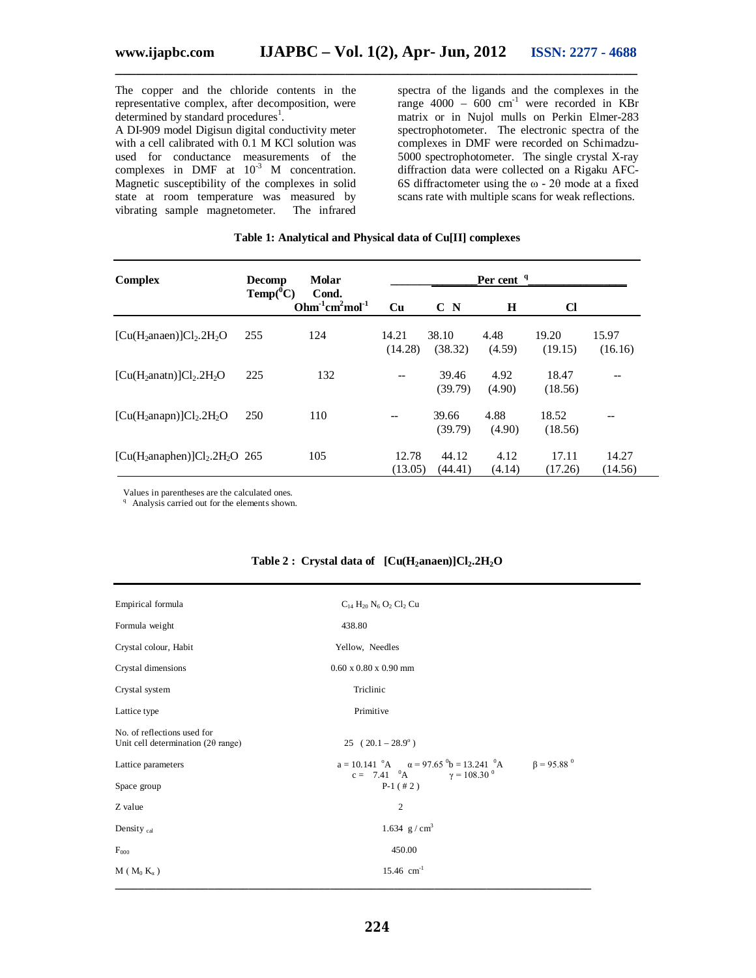The copper and the chloride contents in the representative complex, after decomposition, were determined by standard procedures<sup>1</sup>.

A DI-909 model Digisun digital conductivity meter with a cell calibrated with 0.1 M KCl solution was used for conductance measurements of the complexes in DMF at  $10^{-3}$  M concentration. Magnetic susceptibility of the complexes in solid state at room temperature was measured by vibrating sample magnetometer. The infrared vibrating sample magnetometer.

spectra of the ligands and the complexes in the range  $4000 - 600$  cm<sup>-1</sup> were recorded in KBr matrix or in Nujol mulls on Perkin Elmer-283 spectrophotometer. The electronic spectra of the complexes in DMF were recorded on Schimadzu-5000 spectrophotometer. The single crystal X-ray diffraction data were collected on a Rigaku AFC-6S diffractometer using the ω - 2θ mode at a fixed scans rate with multiple scans for weak reflections.

#### **Table 1: Analytical and Physical data of Cu[II] complexes**

**\_\_\_\_\_\_\_\_\_\_\_\_\_\_\_\_\_\_\_\_\_\_\_\_\_\_\_\_\_\_\_\_\_\_\_\_\_\_\_\_\_\_\_\_\_\_\_\_\_\_\_\_\_\_\_\_\_\_\_\_\_\_\_\_\_\_\_\_\_\_\_\_\_\_\_**

| <b>Complex</b>                | <b>Decomp</b> | Molar<br>Cond.<br>$Ohm-1cm2mol-1$ | Per cent <sup>q</sup> |                  |                |                  |                  |
|-------------------------------|---------------|-----------------------------------|-----------------------|------------------|----------------|------------------|------------------|
|                               | $Temp(^0C)$   |                                   | <b>Cu</b>             | C N              | H              | Cl               |                  |
| $[Cu(H2anaen)]Cl2.2H2O$       | 255           | 124                               | 14.21<br>(14.28)      | 38.10<br>(38.32) | 4.48<br>(4.59) | 19.20<br>(19.15) | 15.97<br>(16.16) |
| $[Cu(H2anatn)]Cl2·2H2O$       | 225           | 132                               |                       | 39.46<br>(39.79) | 4.92<br>(4.90) | 18.47<br>(18.56) |                  |
| $[Cu(H2anapn)]Cl2.2H2O$       | 250           | 110                               |                       | 39.66<br>(39.79) | 4.88<br>(4.90) | 18.52<br>(18.56) |                  |
| $[Cu(H2anaphen)]Cl2.2H2O$ 265 |               | 105                               | 12.78<br>(13.05)      | 44.12<br>(44.41) | 4.12<br>(4.14) | 17.11<br>(17.26) | 14.27<br>(14.56) |

Values in parentheses are the calculated ones.

<sup>q</sup> Analysis carried out for the elements shown.

| Empirical formula                                                        | $C_{14} H_{20} N_6 O_2 Cl_2 Cl$                                                                                                                                |  |  |  |  |  |
|--------------------------------------------------------------------------|----------------------------------------------------------------------------------------------------------------------------------------------------------------|--|--|--|--|--|
| Formula weight                                                           | 438.80                                                                                                                                                         |  |  |  |  |  |
| Crystal colour, Habit                                                    | Yellow, Needles                                                                                                                                                |  |  |  |  |  |
| Crystal dimensions                                                       | $0.60 \times 0.80 \times 0.90$ mm                                                                                                                              |  |  |  |  |  |
| Crystal system                                                           | Triclinic                                                                                                                                                      |  |  |  |  |  |
| Lattice type                                                             | Primitive                                                                                                                                                      |  |  |  |  |  |
| No. of reflections used for<br>Unit cell determination $(2\theta$ range) | $25 (20.1 - 28.9^\circ)$                                                                                                                                       |  |  |  |  |  |
| Lattice parameters                                                       | $a = 10.141$ $^{\circ}$ A $\alpha = 97.65$ $^{\circ}$ b = 13.241 $^{\circ}$ A $\beta = 95.88$ $^{\circ}$<br>c = 7.41 ${}^{0}\text{A}$ $\gamma = 108.30 {}^{0}$ |  |  |  |  |  |
| Space group                                                              | $P-1$ (#2)                                                                                                                                                     |  |  |  |  |  |
| Z value                                                                  | $\overline{2}$                                                                                                                                                 |  |  |  |  |  |
| Density cal                                                              | 1.634 $g/cm^3$                                                                                                                                                 |  |  |  |  |  |
| F <sub>000</sub>                                                         | 450.00                                                                                                                                                         |  |  |  |  |  |
| $M (M_0 K_\alpha)$                                                       | $15.46$ cm <sup>-1</sup>                                                                                                                                       |  |  |  |  |  |

#### **Table 2 : Crystal data of [Cu(H2anaen)]Cl2.2H2O**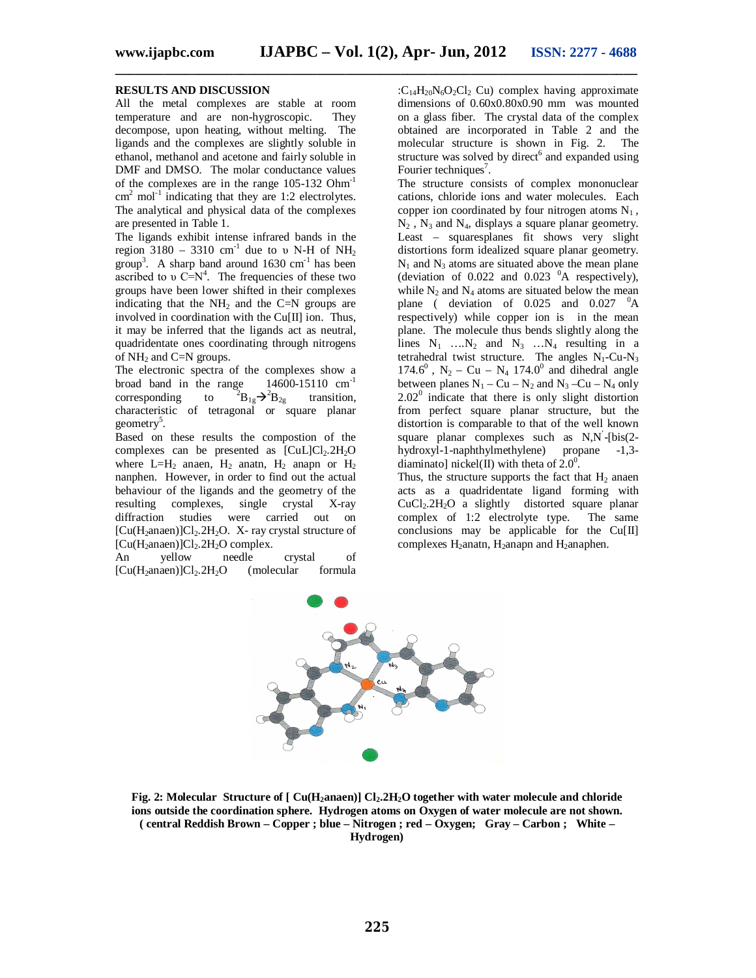**\_\_\_\_\_\_\_\_\_\_\_\_\_\_\_\_\_\_\_\_\_\_\_\_\_\_\_\_\_\_\_\_\_\_\_\_\_\_\_\_\_\_\_\_\_\_\_\_\_\_\_\_\_\_\_\_\_\_\_\_\_\_\_\_\_\_\_\_\_\_\_\_\_\_\_**

#### **RESULTS AND DISCUSSION**

All the metal complexes are stable at room temperature and are non-hygroscopic. They decompose, upon heating, without melting. The ligands and the complexes are slightly soluble in ethanol, methanol and acetone and fairly soluble in DMF and DMSO. The molar conductance values of the complexes are in the range 105-132 Ohm-1  $\text{cm}^2$  mol<sup>-1</sup> indicating that they are 1:2 electrolytes. The analytical and physical data of the complexes are presented in Table 1.

The ligands exhibit intense infrared bands in the region 3180 – 3310 cm<sup>-1</sup> due to υ N-H of NH<sub>2</sub> group<sup>3</sup>. A sharp band around  $1630 \text{ cm}^{-1}$  has been ascribed to  $v = N^4$ . The frequencies of these two groups have been lower shifted in their complexes indicating that the  $NH<sub>2</sub>$  and the C=N groups are involved in coordination with the Cu[II] ion. Thus, it may be inferred that the ligands act as neutral, quadridentate ones coordinating through nitrogens of NH<sup>2</sup> and C=N groups.

The electronic spectra of the complexes show a broad band in the range  $14600-15110 \text{ cm}^{-1}$ broad band in the range corresponding to  ${}^{2}B_{1g} \rightarrow {}^{2}B_{2g}$  transition, characteristic of tetragonal or square planar geometry<sup>5</sup>.

Based on these results the compostion of the complexes can be presented as  $[CuL]Cl<sub>2</sub>.2H<sub>2</sub>O$ where  $L=H_2$  anaen,  $H_2$  anatn,  $H_2$  anapn or  $H_2$ nanphen. However, in order to find out the actual behaviour of the ligands and the geometry of the resulting complexes, single crystal X-ray diffraction studies were carried out on  $[Cu(H<sub>2</sub>anaen)]Cl<sub>2</sub>.2H<sub>2</sub>O.$  X- ray crystal structure of  $[Cu(H_2anaen)]Cl_2.2H_2O$  complex.<br>An yellow needle

An yellow needle crystal of  $[Cu(H<sub>2</sub>anaen)]Cl<sub>2</sub>.2H<sub>2</sub>O$  (molecular formula : $C_{14}H_{20}N_6O_2Cl_2$  Cu) complex having approximate dimensions of 0.60x0.80x0.90 mm was mounted on a glass fiber. The crystal data of the complex obtained are incorporated in Table 2 and the molecular structure is shown in Fig. 2. The structure was solved by direct<sup>6</sup> and expanded using Fourier techniques<sup>7</sup>.

The structure consists of complex mononuclear cations, chloride ions and water molecules. Each copper ion coordinated by four nitrogen atoms  $N_1$ ,  $N_2$ ,  $N_3$  and  $N_4$ , displays a square planar geometry. Least – squaresplanes fit shows very slight distortions form idealized square planar geometry.  $N_1$  and  $N_3$  atoms are situated above the mean plane (deviation of 0.022 and 0.023  $^{0}$ A respectively), while  $N_2$  and  $N_4$  atoms are situated below the mean plane ( deviation of  $0.025$  and  $0.027$   $\mathrm{^0A}$ respectively) while copper ion is in the mean plane. The molecule thus bends slightly along the lines  $N_1$  ….  $N_2$  and  $N_3$  …  $N_4$  resulting in a tetrahedral twist structure. The angles  $N_1$ -Cu-N<sub>3</sub> 174.6<sup>0</sup>, N<sub>2</sub> – Cu – N<sub>4</sub> 174.0<sup>0</sup> and dihedral angle between planes  $N_1 - Cu - N_2$  and  $N_3 - Cu - N_4$  only  $2.02<sup>0</sup>$  indicate that there is only slight distortion from perfect square planar structure, but the distortion is comparable to that of the well known square planar complexes such as N,N'-[bis(2hydroxyl-1-naphthylmethylene) propane -1,3 diaminato] nickel(II) with theta of  $2.0^{\circ}$ .

Thus, the structure supports the fact that  $H_2$  anaen acts as a quadridentate ligand forming with CuCl2.2H2O a slightly distorted square planar complex of 1:2 electrolyte type. The same conclusions may be applicable for the Cu[II] complexes  $H_2$ anatn,  $H_2$ anapn and  $H_2$ anaphen.



**Fig. 2: Molecular Structure of [ Cu(H2anaen)] Cl2.2H2O together with water molecule and chloride ions outside the coordination sphere. Hydrogen atoms on Oxygen of water molecule are not shown. ( central Reddish Brown – Copper ; blue – Nitrogen ; red – Oxygen; Gray – Carbon ; White – Hydrogen)**